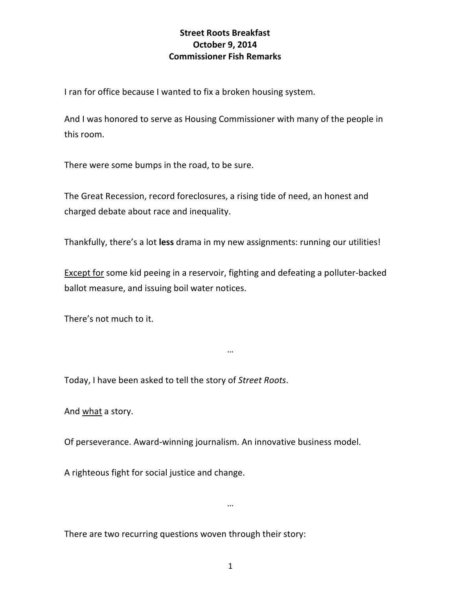## **Street Roots Breakfast October 9, 2014 Commissioner Fish Remarks**

I ran for office because I wanted to fix a broken housing system.

And I was honored to serve as Housing Commissioner with many of the people in this room.

There were some bumps in the road, to be sure.

The Great Recession, record foreclosures, a rising tide of need, an honest and charged debate about race and inequality.

Thankfully, there's a lot **less** drama in my new assignments: running our utilities!

Except for some kid peeing in a reservoir, fighting and defeating a polluter-backed ballot measure, and issuing boil water notices.

…

There's not much to it.

Today, I have been asked to tell the story of *Street Roots*.

And what a story.

Of perseverance. Award-winning journalism. An innovative business model.

A righteous fight for social justice and change.

…

There are two recurring questions woven through their story: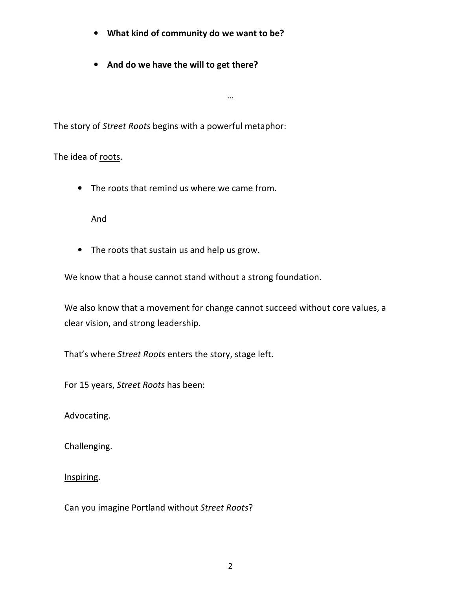- **What kind of community do we want to be?**
- **And do we have the will to get there?**

The story of *Street Roots* begins with a powerful metaphor:

The idea of roots.

• The roots that remind us where we came from.

And

• The roots that sustain us and help us grow.

We know that a house cannot stand without a strong foundation.

We also know that a movement for change cannot succeed without core values, a clear vision, and strong leadership.

…

That's where *Street Roots* enters the story, stage left.

For 15 years, *Street Roots* has been:

Advocating.

Challenging.

Inspiring.

Can you imagine Portland without *Street Roots*?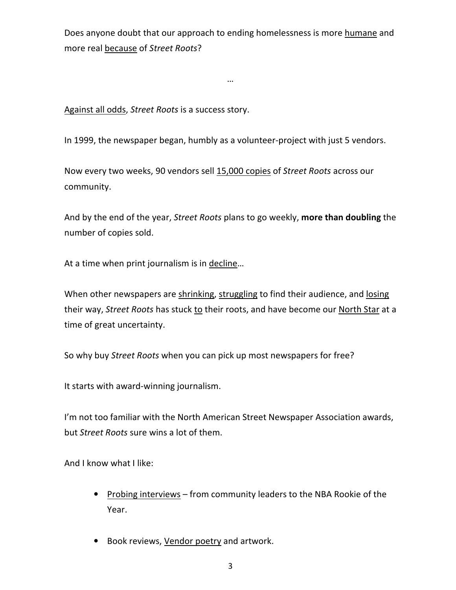Does anyone doubt that our approach to ending homelessness is more humane and more real because of *Street Roots*?

…

Against all odds, *Street Roots* is a success story.

In 1999, the newspaper began, humbly as a volunteer-project with just 5 vendors.

Now every two weeks, 90 vendors sell 15,000 copies of *Street Roots* across our community.

And by the end of the year, *Street Roots* plans to go weekly, **more than doubling** the number of copies sold.

At a time when print journalism is in decline...

When other newspapers are shrinking, struggling to find their audience, and losing their way, *Street Roots* has stuck to their roots, and have become our North Star at a time of great uncertainty.

So why buy *Street Roots* when you can pick up most newspapers for free?

It starts with award-winning journalism.

I'm not too familiar with the North American Street Newspaper Association awards, but *Street Roots* sure wins a lot of them.

And I know what I like:

- Probing interviews from community leaders to the NBA Rookie of the Year.
- Book reviews, Vendor poetry and artwork.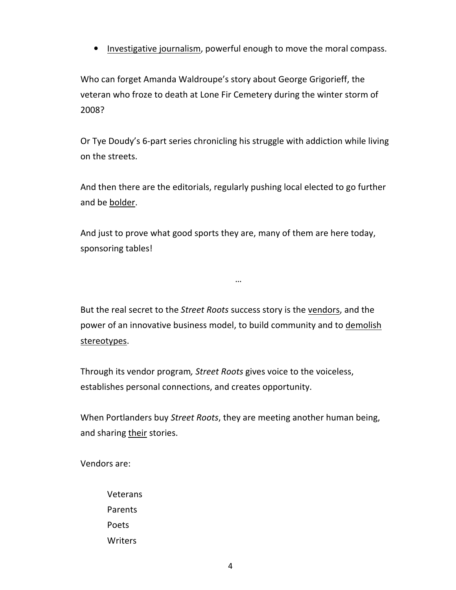• Investigative journalism, powerful enough to move the moral compass.

Who can forget Amanda Waldroupe's story about George Grigorieff, the veteran who froze to death at Lone Fir Cemetery during the winter storm of 2008?

Or Tye Doudy's 6-part series chronicling his struggle with addiction while living on the streets.

And then there are the editorials, regularly pushing local elected to go further and be bolder.

And just to prove what good sports they are, many of them are here today, sponsoring tables!

But the real secret to the *Street Roots* success story is the vendors, and the power of an innovative business model, to build community and to demolish stereotypes.

…

Through its vendor program*, Street Roots* gives voice to the voiceless, establishes personal connections, and creates opportunity.

When Portlanders buy *Street Roots*, they are meeting another human being, and sharing their stories.

Vendors are:

Veterans Parents Poets **Writers**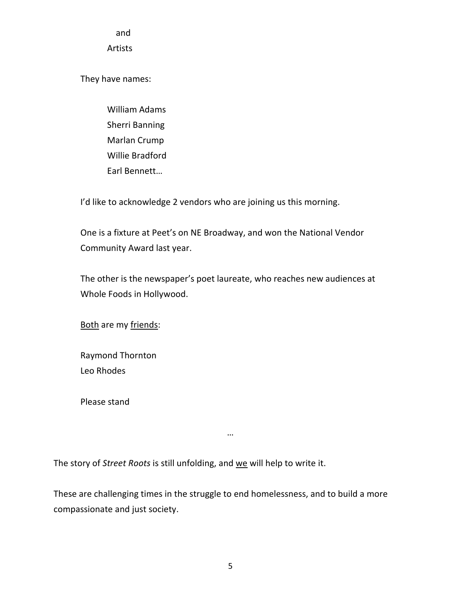and

Artists

They have names:

William Adams Sherri Banning Marlan Crump Willie Bradford Earl Bennett…

I'd like to acknowledge 2 vendors who are joining us this morning.

One is a fixture at Peet's on NE Broadway, and won the National Vendor Community Award last year.

The other is the newspaper's poet laureate, who reaches new audiences at Whole Foods in Hollywood.

Both are my friends:

Raymond Thornton Leo Rhodes

Please stand

The story of *Street Roots* is still unfolding, and we will help to write it.

These are challenging times in the struggle to end homelessness, and to build a more compassionate and just society.

…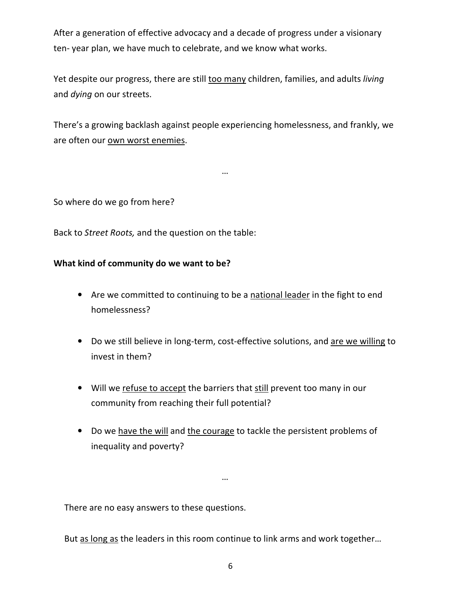After a generation of effective advocacy and a decade of progress under a visionary ten- year plan, we have much to celebrate, and we know what works.

Yet despite our progress, there are still too many children, families, and adults *living* and *dying* on our streets.

There's a growing backlash against people experiencing homelessness, and frankly, we are often our own worst enemies.

…

So where do we go from here?

Back to *Street Roots,* and the question on the table:

## **What kind of community do we want to be?**

- Are we committed to continuing to be a national leader in the fight to end homelessness?
- Do we still believe in long-term, cost-effective solutions, and are we willing to invest in them?
- Will we refuse to accept the barriers that still prevent too many in our community from reaching their full potential?
- Do we have the will and the courage to tackle the persistent problems of inequality and poverty?

…

There are no easy answers to these questions.

But as long as the leaders in this room continue to link arms and work together…